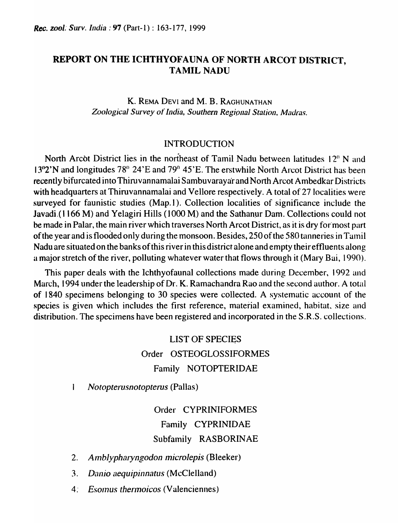# REPORT ON THE ICHTHYOFAUNA OF NORTH ARCOT DISTRICT, **TAMIL NADU**

K. REMA DEVI and M. B. RAGHUNATHAN Zoological Survey of India, Southern Regional Station, Madras.

## INTRODUCTION

North Arcot District lies in the northeast of Tamil Nadu between latitudes 12<sup>°</sup> N and 13<sup>o</sup> <sup>2</sup>'N and longitudes 78<sup>o</sup> 24'E and 79<sup>o</sup> 45'E. The erstwhile North Arcot District has been recently bifurcated into Thiruvannamalai Sambuvarayar and North Arcot Ambedkar Districts with headquarters at Thiruvannamalai and Vellore respectively. A total of 27 localities were surveyed for faunistic studies (Map.1). Collection localities of significance include the Javadi.(1166 M) and Yelagiri Hills (1000 M) and the Sathanur Dam. Collections could not be made in Palar, the main river which traverses North Arcot District, as it is dry for'most part of the year and is flooded only during the monsoon. Besides, 250 of the 580 tanneries in Tamil Nadu are situated on the banks of this river in this district alone and empty their effluents along a major stretch of the river, polluting whatever water that flows through it (Mary Bai, 1990).

This paper deals with the Ichthyofaunal collections made during December, 1992 and March, 1994 under the leadership of Dr. K. Ramachandra Rao and the second author. A total of 1840 specimens belonging to 30 species were collected. A systematic account of the species is given which includes the first reference, material examined, habitat, size and distribution. The specimens have been registered and incorporated in the S.R.S. collections.

> LIST OF SPECIES Order OSTEOGLOSSIFORMES Family NOTOPTERIDAE

 $\mathbf{I}$ *Notopterusnotopterus* (Pallas)

> Order CYPRINIFORMES Family CYPRINIDAE Subfamily RASBORINAE

- 2. *Amblypharyngodon microlepis* (Bleeker)
- 3. Danio aequipinnatus *(McClelland)*
- 4~ *Esolnus thennoicos* (Valenciennes)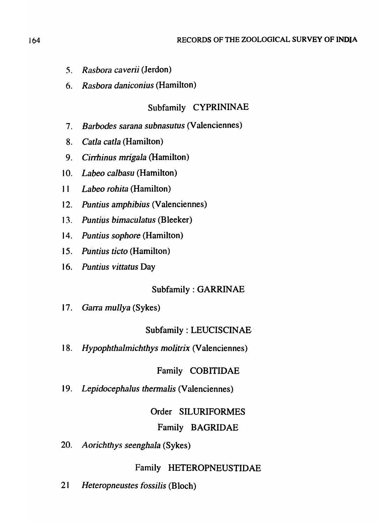- *5. Rasbora caverii* (Jerdon)
- *6. Rasbora daniconius* (Hamilton)

# Subfamily CYPRININAE

- 7. *Barbodes sarana subnasutus* (Valenciennes)
- 8. *Catla catla* (Hamilton)
- 9. *Cirrhinus mrigala* (Hamilton)
- 10. *Labeo calbasu* (Hamilton)
- I I *Labeo rohita* (Hamilton)
- 12. *Puntius amphibius* (Valenciennes)
- 13. *Puntius bimaciJlatus* (Bleeker)
- 14. *Puntius sophore* (Hamilton)
- 15. *Puntius ticto* (Hamilton)
- 16. *Puntius vittatus* Day

# Subfamily: GARRINAE

*17. Garra mullya* (Sykes)

# Subfamily: LEUCISCINAE·

*18. Hypophthalmichthys moljtrix* (Valenciennes)

# Family COBITIDAE

*19. Lepidocephalus thermalis* (Valenciennes)

# Order SILURIFORMES

## Family BAGRIDAE

*20. Aorichthys seenghala* (Sykes)

## Family HETEROPNEUSTIDAE

*21 Heteropneustes fossilis* (Bloch)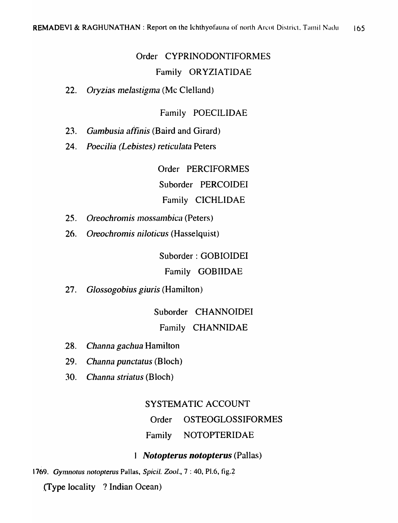# Order CYPRINODONTIFORMES Family ORYZIATIDAE

22. Oryzias melastigma (Mc Clelland)

## Family POECILIDAE

- Gambusia affinis (Baird and Girard)  $23.$
- $24.$ Poecilia (Lebistes) reticulata Peters

Order PERCIFORMES Suborder PERCOIDEI Family CICHLIDAE

- 25. Oreochromis mossambica (Peters)
- 26. Oreochromis niloticus (Hasselquist)

Suborder: GOBIOIDEI

Family GOBIIDAE

27. Glossogobius giuris (Hamilton)

Suborder CHANNOIDEI

## Family CHANNIDAE

- .28. Channa gachua Hamilton
- 29. Channa punctatus (Bloch)
- $30.$ Channa striatus (Bloch)

## SYSTEMATIC ACCOUNT

Order **OSTEOGLOSSIFORMES** 

Family NOTOPTERIDAE

## 1 Notopterus notopterus (Pallas)

1769. Gymnotus notopterus Pallas, Spicil. Zool., 7:40, Pl.6, fig.2

(Type locality ? Indian Ocean)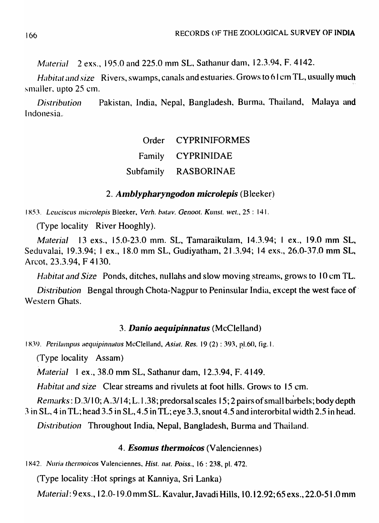Material 2 exs., 195.0 and 225.0 mm SL, Sathanur dam, 12.3.94, F. 4142.

Habitat and size Rivers, swamps, canals and estuaries. Grows to 61cm TL, usually much smaller, upto 25 cm.

Pakistan, India, Nepal, Bangladesh, Burma, Thailand, Malaya and *Distribution* Indonesia.

| Order CYPRINIFORMES  |
|----------------------|
| Family CYPRINIDAE    |
| Subfamily RASBORINAE |

## 2. Amblypharyngodon microlepis (Bleeker)

1853. Leuciscus microlepis Bleeker, Verh. batav. Genoot. Kunst. wet., 25:141.

(Type locality River Hooghly).

Material 13 exs., 15.0-23.0 mm. SL, Tamaraikulam, 14.3.94; 1 ex., 19.0 mm SL, Seduvalai, 19.3.94; 1 ex., 18.0 mm SL, Gudiyatham, 21.3.94; 14 exs., 26.0-37.0 mm SL, Arcot, 23.3.94, F 4130.

*Habitat and Size* Ponds, ditches, nullahs and slow moving streams, grows to 10 cm TL.

Distribution Bengal through Chota-Nagpur to Peninsular India, except the west face of Western Ghats.

### 3. Danio aequipinnatus (McClelland)

1839. Perilampus aequipinnatus McClelland, Asiat. Res. 19 (2): 393, pl.60, fig.1.

(Type locality Assam)

Material 1 ex., 38.0 mm SL, Sathanur dam, 12.3.94, F. 4149.

Habitat and size Clear streams and rivulets at foot hills. Grows to 15 cm.

Remarks: D.3/10; A.3/14; L.1.38; predorsal scales 15; 2 pairs of small barbels; body depth 3 in SL, 4 in TL; head 3.5 in SL, 4.5 in TL; eye 3.3, snout 4.5 and interorbital width 2.5 in head.

Distribution Throughout India, Nepal, Bangladesh, Burma and Thailand.

#### 4. *Esomus thermoicos* (Valenciennes)

1842. Nuria thermoicos Valenciennes, Hist. nat. Poiss., 16: 238, pl. 472.

(Type locality: Hot springs at Kanniya, Sri Lanka)

*Material*: 9 exs., 12.0-19.0 mm SL. Kavalur, Javadi Hills, 10.12.92; 65 exs., 22.0-51.0 mm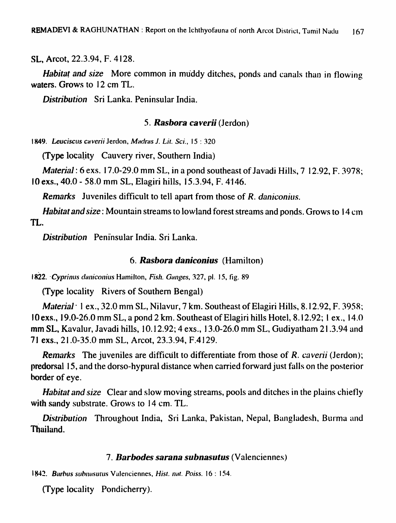SL, Arcot, 22.3.94, F. 4128.

Habitat and size More common in muddy ditches, ponds and canals than in flowing waters. Grows to 12 cm TL.

Distribution Sri Lanka. Peninsular India.

#### 5. Rasbora caverii (Jerdon)

1849. Leuciscus caverii Jerdon, Madras J. Lit. Sci., 15:320

(Type locality Cauvery river, Southern India)

*Material*: 6 exs. 17.0-29.0 mm SL, in a pond southeast of Javadi Hills,  $7\,12.92$ , F. 3978; 10 exs., 40.0 - 58.0 mm SL, Elagiri hills, 15.3.94, F. 4146.

**Remarks** Juveniles difficult to tell apart from those of R. daniconius.

*Habitat and size*: Mountain streams to lowland forest streams and ponds. Grows to 14 cm TL.

Distribution Peninsular India, Sri Lanka.

#### 6. Rasbora daniconius (Hamilton)

1822. Cyprinus daniconius Hamilton, Fish. Ganges, 327, pl. 15, fig. 89

(Type locality Rivers of Southern Bengal)

*Material* 1 ex., 32.0 mm SL, Nilavur, 7 km. Southeast of Elagiri Hills, 8.12.92, F. 3958; 10 exs., 19.0-26.0 mm SL, a pond 2 km. Southeast of Elagiri hills Hotel, 8.12.92; 1 ex., 14.0 mm SL, Kavalur, Javadi hills, 10.12.92; 4 exs., 13.0-26.0 mm SL, Gudiyatham 21.3.94 and 71 exs., 21.0-35.0 mm SL, Arcot, 23.3.94, F.4129.

**Remarks** The juveniles are difficult to differentiate from those of R. caverii (Jerdon); predorsal 15, and the dorso-hypural distance when carried forward just falls on the posterior border of eye.

*Habitat and size* Clear and slow moving streams, pools and ditches in the plains chiefly with sandy substrate. Grows to 14 cm. TL.

Distribution Throughout India, Sri Lanka, Pakistan, Nepal, Bangladesh, Burma and Thailand.

#### 7. Barbodes sarana subnasutus (Valenciennes)

1842. Barbus subnasutus Valenciennes, Hist. nat. Poiss. 16: 154.

(Type locality Pondicherry).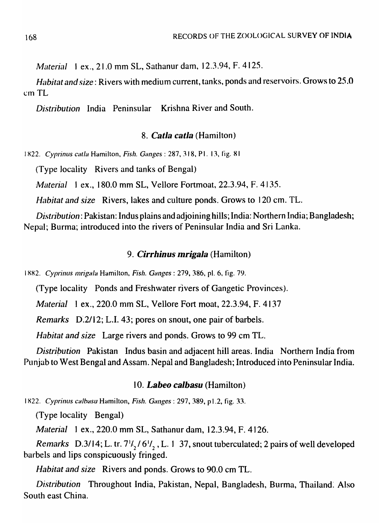*Material* 1 ex., 21.0 mm SL, Sathanur dam, 12.3.94, F. 4125.

*Habitat and size:* Rivers with medium current, tanks, ponds and reservoirs. Grows to 25.0 cm TL

*Distribution* India Peninsular Krishna River and South.

## *8. Calla calla* (Hamilton)

1822. *Cyprinus catla Hamilton, Fish. Ganges: 287, 318, P1. 13, fig. 81* 

(Type locality Rivers and tanks of Bengal)

*Material* 1 ex., 180.0 mm SL, Vellore Fortmoat, 22.3.94, F. 4135.

*Habitat and size* Rivers, lakes and culture ponds. Grows to 120 cm. TL.

*Distribution: Pakistan: Indus plains and adjoining hills; India: Northern India; Bangladesh;* Nepal; Burma; introduced into the rivers of Peninsular India and Sri Lanka.

## *9. Cirrhinus mrigala* (Hamilton)

I XX2. *Cyprinlls InrigaJa* Hamilton, *Fish. Ganges:* 279, 386, pI. 6, fig. 79.

(Type locality Ponds and Freshwater rivers of Gangetic Provinces).

*Material* 1 ex., 220.0 mm SL, Vellore Fort moat, 22.3.94, F. 4137

*Remarks* D.2/12; L.I. 43; pores on snout, one pair of barbels.

*Habitat and size* Large rivers and ponds. Grows to 99 cm TL.

*Distripution* Pakistan Indus basin and adjacent hill areas. India Northern India from Punjab to West-Bengal and Assam. Nepal and Bangladesh; Introduced into Peninsular India.

## *10. Labeo calbasu* (Hamilton)

1822. *Cyprinus calbasu Hamilton, Fish. Ganges: 297, 389, p1.2, fig. 33.* 

(Type locality Bengal)

*Material* 1 ex., 220.0 mm SL, Sathanur dam, 12.3.94, F. 4126.

*Remarks* D.3/14; L. tr.  $7\frac{1}{2}$ /6<sup>1</sup>/, L. 1 37, snout tuberculated; 2 pairs of well developed barbels and lips conspicuously fringed.

*Habitat and size* Rivers and ponds. Grows to 90.0 cm TL.

*Distribution* Throughout India, Pakistan, Nepal, Bangladesh, Burma, Thailand. Also South east China.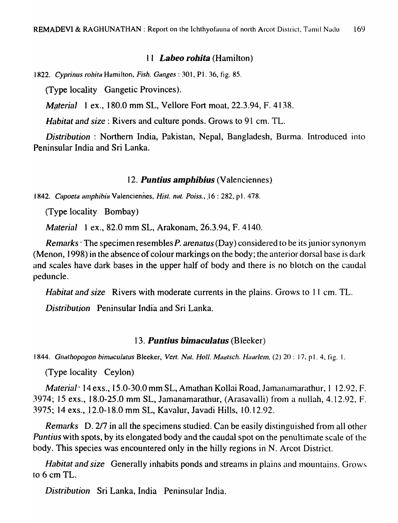#### II *Labeo rohita* (Hamilton)

1822. *Cyprinus rohita Hamilton, Fish. Ganges:* 301, P1. 36, fig. 85.

(Type locality Gangetic Provinces).

*Material* 1 ex., 180.0 mm SL, Vellore Fort moat,  $22.3.94$ , F. 4138.

*Habitat and size:* Rivers and culture ponds. Grows to 91 cm. TL.

*Distribution:* Northern India, Pakistan, Nepal, Bangladesh, Burma. Introduced into Peninsular India and Sri Lanka.

#### *12. Puntius amphibius* (Valenciennes)

1842. *Capoeta amphibia* Valenciennes, *Hist. nat. Poiss.*, 16: 282, pl. 478.

(Type locality Bombay)

*Material* 1 ex., 82.0 mm SL, Arakonam, 26.3.94, F. 4140.

*Remarks* The specimen resembles *P. arenatus* (Day) considered to be its junior synonym (Menon, 1998) in the absence of colour markings on the body; the anterior dorsal base is dark and scales have dark bases in the upper half of body and there is no blotch on the caudal peduncle.

*Habitat and size* Rivers with moderate currents in the plains. Grows to 11 cm. TL.

*Distribution* Peninsular India and Sri Lanka.

#### *13. Puntius bimaculatus* (Bleeker)

1844. *Gnathopogon bimaculatus Bleeker, Vert. Nat. Holl. Maatsch. Haarlem, (2) 20 : 17, p1. 4, fig. 1.* 

(Type locality Ceylon)

*Material* 14 exs., 15.0-30.0 mm SL, Amathan Kollai Road, Jamanamarathur, 1 12.92, F. 3974; 15 exs., 18.0-25.0 mm SL, Jamanamarathur, (Arasavalli) from a nullah, 4.12.92, F. 3975; 14 exs., 12.0-18.0 mm SL, Kavalur, Javadi Hills, 10.12.92.

*Remarks* D. 2/7 in all the specimens studied. Can be easily distinguished from all other *Puntius* with spots, by its elongated body and the caudal spot on the penultimate scale of the body. This species was encountered only in the hilly regions in N. Areot District.

*Habitat and size* Generally inhabits ponds and streams in plains and mountains. Grows to 6 em TL.

*Distribution* Sri Lanka, India Peninsular India.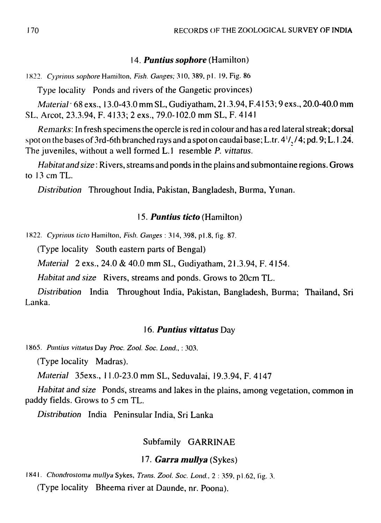## 14. *Puntius sophore* (Hamilton)

1822. *Cyprinus sophore Hamilton, Fish. Ganges;* 310, 389, pl. 19, Fig. 86

Type locality Ponds and rivers of the Gangetic provinces)

*Material* 68 exs., 13.0-43.0 mm SL, Gudiyatham, 21.3.94, F.4153; 9 exs., 20.0-40.0 mm SL, Arcot, 23.3.94, F. 4133; 2 exs., 79.0-102.0 mm SL, F. 4141

*Remarks: In fresh specimens the opercle is red in colour and has a red lateral streak; dorsal* spot on the bases of 3rd-6th branched rays and a spot on caudai base; L.tr.  $4^{1}/(4$ ; pd. 9; L. 1.24. The juveniles, without a well formed L.l resemble P. *vittatus.* 

*Habitat and size:* Rivers, streams and ponds in the plains and submontaine regions. Grows to  $13$  cm TL.

*Distribution* Throughout India, Pakistan, Bangladesh, Burma, Yunan.

## *15. Puntius ticto* (Hamilton)

1822. *Cyprinus ticto Hamilton, Fish. Ganges: 314, 398, pl.8, fig. 87.* 

(Type locality South eastern parts of Bengal)

*M(lterial* 2 exs., 24.0 & 40.0 mm SL, Gudiyatham, 21.3.94, F. 4154.

*Habitat and size* Rivers, streams and ponds. Grows to 20cm TL.

*Distribution* India Throughout India, Pakistan, Bangladesh, Burma; Thailand, Sri Lanka.

## *16. Puntius' vittatus* Day

*1865. Puntius vittatus* Day *Proc. Zool. Soc. Lond.,* : 303.

(Type locality Madras).

*Material* 35exs., 11.0-23.0 mm SL, Seduvalai, 19.3.94, F. 4147

*Habitat and size* Ponds, streams and lakes in the plains, among vegetation, common in paddy fields. Grows to 5 cm TL.

*Distribution* India Peninsular India, Sri Lanka

## Subfamily GARRINAE

## *17. Garra muJJya* (Sykes)

1841. *Chondrostoma mullya* Sykes, *Trans. Zool. Soc. Lond.*, 2: 359, p1.62, fig. 3. (Type locality Bheema river at Daunde, nr. Poona).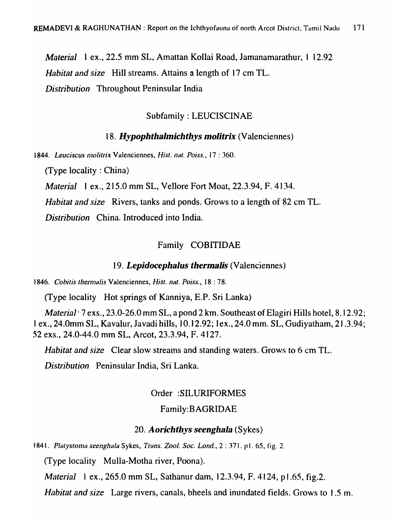*Material* 1 ex., 22.5 mm SL, Amattan Kollai Road, Jamanamarathur, 1 12.92 *Habitat and size* Hill streams. Attains a length of 17 cm TL. *Distribution* Throughout Peninsular India

### Subfamily: LEUCISCINAE

### *18. Hypophthalmichthys molitrix* (Valenciennes)

1844. *Leuciscus molitrix* Valenciennes, *Hist. nat. Poiss.*, 17:360.

(Type locality: China)

*Material* I ex., 215.0 mm SL, Vellore Fort Moat, 22.3.94, F. 4134.

*Habitat and size* Rivers, tanks and ponds. Grows to a length of 82 cm TL.

*Distribution* China. Introduced into India.

#### Family COBITIDAE

#### *19. LepidocephaJus thermaJis* (Valenciennes)

1846. *Cobitis thermalis* Valenciennes, *Hist. nat. Poiss.*, 18:78.

(Type locality Hot springs of Kanniya, E.P. Sri Lanka)

*Material* <sup>7</sup> exs., 23.0-26.0 mm SL, a pond 2 km. Southeast of Elagiri Hills hotel, 8.12.92; I ex., 24.0mm SL, Kavalur, Javadi hills, 10.12.92; 1 ex., 24.0 mm. SL, Gudiyatham, 21.3.94; 52 exs., 24.0-44.0 mm SL, Arcot, 23.3.94, F. 4127.

*Habitat and size* Clear slow streams and standing waters. Grows to 6 cm TL.

*Distribution* Peninsular India, Sri Lanka.

#### Order :SILURIFORMES

## Family:BAGRIDAE

#### *20. Aorichthys seenghala* (Sykes)

t841. *Platystonla seenghala* Sykes, *Trans. Zool. Soc. Lond.,* 2 : 371. pl. 65, fig. 2.

(Type locality Mulla-Motha river, Poona).

*Material* 1 ex., 265.0 mm SL, Sathanur dam, 12.3.94, F. 4124, p1.65, fig.2.

*Habitat and size* Large rivers, canals, bheels and inundated fields. Grows to 1.5 m.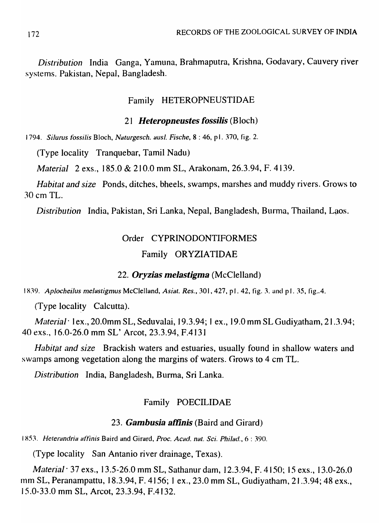*Distribution* India Ganga, Yamuna, Brahmaputra, Krishna, Godavary, Cauvery river systems. Pakistan, Nepal, Bangladesh.

#### Family HETEROPNEUSTIDAE

#### *21 Heteropneustes fossilis* (Bloch)

1794. *SiJurus fossilis* Bloch, *Naturgesch. ausl. Fische,* 8 : 46, pl. 370, fig. 2.

(Type locality Tranquebar, Tamil Nadu)

*Material* 2 exs., 185.0 & 210.0 mm SL, Arakonam, 26.3.94, F. 4139.

*Habitat and size* Ponds, ditches, bheels, swamps, marshes and muddy rivers. Grows to 30 em TL.

*Distribution* India, Pakistan, Sri Lanka, Nepal, Bangladesh, Burma, Thailand, Laos.

# Order CYPRINODONTIFORMES Family ORYZIATIDAE

#### *22. Oryzias melastigma* (McClelland)

1839. Aplocheilus melastigmus McClelland, *Asiat. Res.*, 301, 427, pl. 42, fig. 3. and pl. 35, fig. 4.

(Type locality Calcutta).

*Material* · 1 ex., 20.0mm SL, Seduvalai, 19.3.94; 1 ex., 19.0 mm SL Gudiy. atham, 21.3.94; 40 exs., 16.0-26.0 mm SL' Arcot, 23.3.94,.F.4131

*Habitat and size* Brackish waters and estuaries, usually found in shallow waters and swamps among vegetation along the margins of waters. Grows to 4 cm TL.

*Distribution* India, Bangladesh, Burma, Sri Lanka.

## Family POECILIDAE

#### *23. Gambusia aflinis* (Baird and Girard)

I X51. *Heterandria aff'inis* Baird and Girard, *Proc. Acad. nat. Sci. Phi/ad.,* 6 : 390.

(Type locality San Antanio river drainage, Texas).

*Material* <sup>37</sup> exs., 13.5-26.0 mm SL, Sathanur dam, 12.3.94, F. 4150; 15 exs., 13.0-26.0 mm SL, Peranampattu, 18.3.94, F. 4156; 1 ex., 23.0 mm SL, Gudiyatham, 21.3.94; 48 exs., 15.0-33.0 mm SL, Arcot, 23.3.94, F.4132.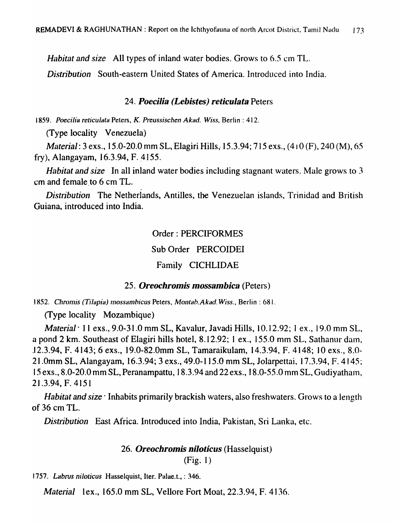*Habitat and size* All types of inland water bodies. Grows to 6.5 cm TL.

*Distribution* South-eastern United States of America. Introduced into India.

#### *24. Poecilia (Lebistes) reticulata* Peters

1859. Poecilia reticulata Peters, *K. Preussischen Akad. Wiss, Berlin: 412.* 

(Type locality Venezuela)

*Material: 3 exs., 15.0-20.0 mm SL, Elagiri Hills, 15.3.94; 715 exs., (410 (F), 240 (M), 65* fry), Alangayam, 16.3.94, F. 4155.

*Habitat and size* In all inland water bodies including stagnant waters. Male grows to 3 em and female.to 6 cm TL.

*Distribution* The Netherlands, Antilles, the Venezuelan islands, Trinidad and British Guiana, introduced into India.

## Order: PERCIFORMES

Sub Order PERCOIDEI

## Family CICHLIDAE

## *25. Oreochromis mossambica* (Peters)

1852. Chromis (Tilapia) mossambicus Peters, *Montab.Akad. Wiss.*, Berlin: 681.

(Type locality Mozambique)

*Material'* II exs., 9.0-31.0 mm SL, Kavalur, lavadi Hills, 10.12.92; 1 ex., 19.0 mm SL, a pond 2 km. Southeast of Elagiri hills hotel, 8.12.92; 1 ex., 155.0 mm SL, Sathanur dam, J 2.3.94, F. 4143; 6 exs., 19.0-82.0mm SL, Tamaraikulam, 14.3.94, F. 4148; 10 exs., 8.0- 21.0mm SL, Alangayam, 16.3.94; 3 exs., 49.0-115.0 mm SL, Jolarpettai, 17.3.94, F. 4145; 15 exs., 8.0-20.0 mm SL, Peranampattu, 18.3.94 and 22 exs., 18.0-55.0 mm SL, Gudiyathaln, 21.3.94, F. 4151

*Habitat and size* Inhabits primarily brackish waters, also freshwaters. Grows to a length of36 em TL.

*Distribution* East Africa. Introduced into India, Pakistan, Sri Lanka, etc.

## *26. Oreochromis niloticus* (Hasselquist) (Fig. 1)

*1757. Labrus ni/olicus* Hasselquist, Iter. Palae.t., : 346.

*Material* lex., 165.0 mm SL, Vellore Fort Moat, 22.3.94, F. 4136.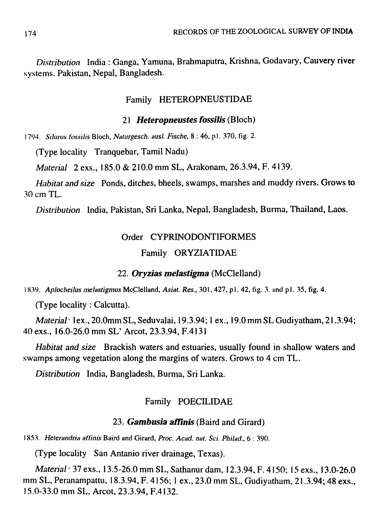Distribution India: Ganga, Yamuna, Brahmaputra, Krishna, Godavary, Cauvery river systems. Pakistan, Nepal, Bangladesh.

## Family HETEROPNEUSTIDAE

## 21 Heteropneustes fossilis (Bloch)

1794. Silurus fossilis Bloch, Naturgesch. ausl. Fische, 8:46, pl. 370, fig. 2.

(Type locality Tranquebar, Tamil Nadu)

Material 2 exs., 185.0 & 210.0 mm SL, Arakonam, 26.3.94, F. 4139.

Habitat and size Ponds, ditches, bheels, swamps, marshes and muddy rivers. Grows to 30 cm TL.

Distribution India, Pakistan, Sri Lanka, Nepal, Bangladesh, Burma, Thailand, Laos.

## Order CYPRINODONTIFORMES

## Family ORYZIATIDAE

## 22. Oryzias melastigma (McClelland)

1839. Aplocheilus melastigmus McClelland, Asiat. Res., 301, 427, p1. 42, fig. 3. and p1. 35, fig. 4.

 $(\text{Type locality}: \text{Calculate})$ .

*Material* lex., 20.0mm SL, Seduvalai, 19.3.94; 1 ex., 19.0 mm SL Gudiyatham, 21.3.94; 40 exs., 16.0-26.0 mm SL' Arcot, 23.3.94, F.4131

*Habitat and size* Brackish waters and estuaries, usually found in shallow waters and swamps among vegetation along the margins of waters. Grows to 4 cm TL.

Distribution India, Bangladesh, Burma, Sri Lanka.

## Family POECILIDAE

## 23. **Gambusia affinis** (Baird and Girard)

1853. Heterandria affinis Baird and Girard, Proc. Acad. nat. Sci. Philad., 6:390.

(Type locality San Antanio river drainage, Texas).

*Material* · 37 exs., 13.5-26.0 mm SL, Sathanur dam, 12.3.94, F. 4150; 15 exs., 13.0-26.0 mm SL, Peranampattu, 18.3.94, F. 4156; 1 ex., 23.0 mm SL, Gudiyatham, 21.3.94; 48 exs., 15.0-33.0 mm SL, Arcot, 23.3.94, F.4132.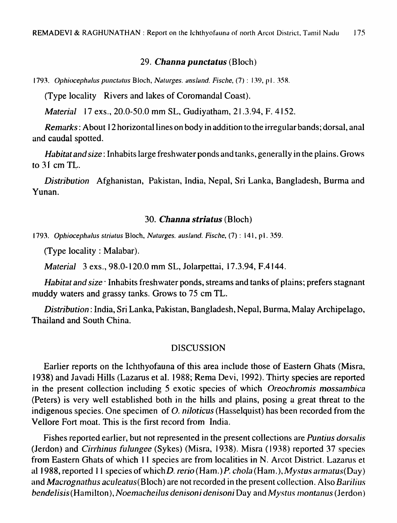#### *29. Channa punctatus* (Bloch)

1793. *Ophiocephalus punctatus Bloch, Naturges. ausland. Fische,* (7): 139, pl. 358.

(Type locality Rivers and lakes of Coromandal Coast).

*Material* 17 exs., 20.0-50.0 mm SL, Gudiyatham, 21.3.94, F. 4152.

*Remarks:* About 12 horizontal lines on body in addition to the irregular bands; dorsal, anal and caudal spotted.

*Habitat and size:* Inhabits large freshwater ponds and tanks, generally in the plains. Grows to  $31$  cm TL.

*Distribution* Afghanistan, Pakistan, India, Nepal, Sri Lanka, Bangladesh, Burma and Yunan.

#### *30. Channa striatus* (Bloch)

1793. *OphiocephaJus striatus* Bloch, *Naturges. ausJand. Fische.* (7) : 141, pl. 359.

(Type locality : Malabar).

*Material* 3 exs., 98.0-120.0 mm SL, Jolarpettai, 17.3.94, F.4144.

*Habitat and size'* Inhabits freshwater ponds, streams and tanks of plains; prefers stagnant muddy waters and grassy tanks. Grows to 75 cm TL.

*Distribution:* India, Sri Lanka, Pakistan, Bangladesh, Nepal, Burma, Malay Archipelago, Thailand and South China.

#### DISCUSSION

Earlier reports on the Ichthyofauna of this area include those of Eastern Ghats (Misra, 1938) and lavadi Hills (Lazarus et al. 1988; Rema Devi, 1992). Thirty species are reported in the present collection including 5 exotic species of which *Oreochromis mossambica*  (Peters) is very well established both in the hills and plains, posing a great threat to the indigenous species. One specimen of O. *niloticus* (Hasselquist) has been recorded from the Vellore Fort moat. This is the first record from India.

Fishes reported earlier, but not represented in the present collections are *Puntius dorsalis*  (Jerdon) and *Cirrhinus fulungee* (Sykes) (Misra, 1938). Misra (1938) reported 37 species from Eastern Ghats of which 11 species are from localities in N. Arcot District. Lazarus et a11988, reported II species ofwhichD. *rerio(Ham.)P. chola* (Ham.), *Mystus* armatus(Day) and *Macrognathus aculeatus(Bloch)* are not recorded in the present collection. Also *Barilius bendelisis(Hamilton),Noemacheilus denisoni denisoni* Day *andMystuslnontanus* (Jerdon)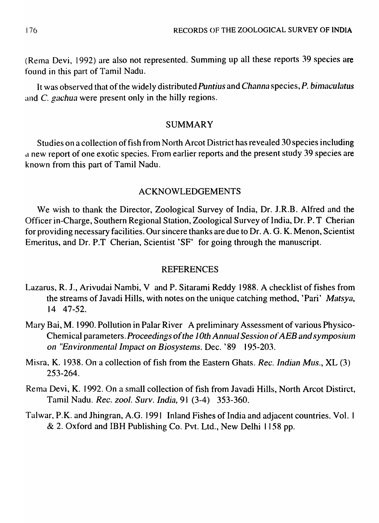$(Rema Devi, 1992)$  are also not represented. Summing up all these reports 39 species are found in this part of Tamil Nadu.

It was observed that of the widely distributed *Puntius* and *Channa* species, *P. bimaculatus* and C. *gachua* were present only in the hilly regions.

## SUMMARY

Studies on a collection of fish from North Arcot District has revealed 30 species including <sup>d</sup>new report of one exotic species .. From earlier reports and the present study 39 species are known from this part of Tamil Nadu.

## ACKNOWLEDGEMENTS

We wish to thank the Director, Zoological Survey of India, Dr. J.R.B. Alfred and the Officer in-Charge, Southern Regional Station, Zoological Survey of India, Dr. P. T Cherian for providing necessary facilities. Our sincere thanks are due to Dr. A. G. K. Menon, Scientist Emeritus, and Dr. P.T Cherian, Scientist 'SF' for going through the manuscript.

## REFERENCES

- Lazarus, R. J., Arivudai Nambi, V and P. Sitarami Reddy 1988. A checklist of fishes from the streams of Javadi Hills, with notes on the unique catching method, 'Pari' *Matsya*, 14 47-52.
- Mary Bai, M. 1990. Pollution in Palar River A preliminary Assessment of various Physico-Chemical parameters. *Proceedings of the 10th Annual Session of AEB and symposium on "Environmental Impact on Biosystems. Dec. '89 195-203.*
- Misra, K. 1938. On a collection of fish from the Eastern Ghats. *Rec. Indian Mus.*, XL (3) 253-264.
- Rema Devi, K. 1992. On a small collection of fish from Javadi Hills, North Arcot Distirct, Tamil Nadu. *Rec. zool. Surv. India,* 91 (3-4) 353-360.
- Talwar, P.K. and Jhingran, A.G. 1991 Inland Fishes of India and adjacent countries. Vol. 1 & .2. Oxford and IBH Publishing Co. Pvt. Ltd., New Delhi 1158 pp.